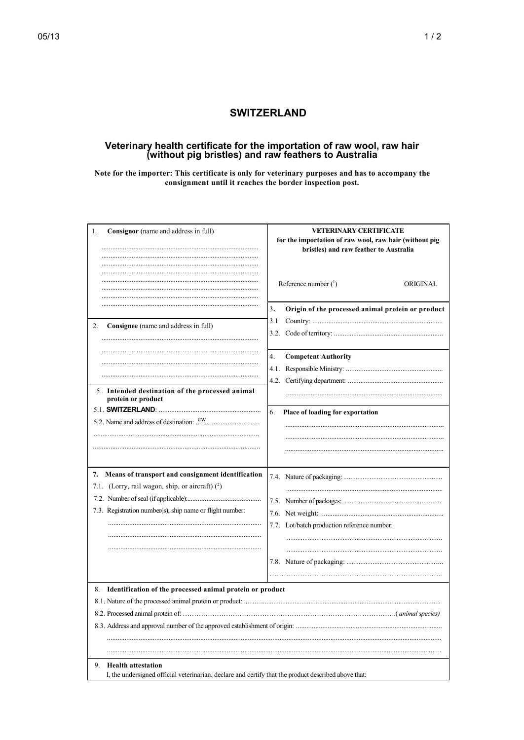## **SWITZERLAND**

## Veterinary health certificate for the importation of raw wool, raw hair<br>(without pig bristles) and raw feathers to Australia

Note for the importer: This certificate is only for veterinary purposes and has to accompany the consignment until it reaches the border inspection post.

| Consignor (name and address in full)<br>1.                                                                                              | <b>VETERINARY CERTIFICATE</b><br>for the importation of raw wool, raw hair (without pig<br>bristles) and raw feather to Australia |
|-----------------------------------------------------------------------------------------------------------------------------------------|-----------------------------------------------------------------------------------------------------------------------------------|
|                                                                                                                                         | Reference number $(^1)$<br>ORIGINAL                                                                                               |
|                                                                                                                                         | 3.<br>Origin of the processed animal protein or product                                                                           |
| 2.<br>Consignee (name and address in full)                                                                                              | 3.1                                                                                                                               |
|                                                                                                                                         | 4.<br><b>Competent Authority</b>                                                                                                  |
|                                                                                                                                         |                                                                                                                                   |
|                                                                                                                                         |                                                                                                                                   |
| 5. Intended destination of the processed animal<br>protein or product                                                                   |                                                                                                                                   |
|                                                                                                                                         | 6.<br>Place of loading for exportation                                                                                            |
|                                                                                                                                         |                                                                                                                                   |
|                                                                                                                                         |                                                                                                                                   |
| Means of transport and consignment identification<br>7.<br>7.1. (Lorry, rail wagon, ship, or aircraft) (2)                              |                                                                                                                                   |
|                                                                                                                                         |                                                                                                                                   |
| 7.3. Registration number(s), ship name or flight number:                                                                                |                                                                                                                                   |
|                                                                                                                                         |                                                                                                                                   |
|                                                                                                                                         | 7.7. Lot/batch production reference number:                                                                                       |
|                                                                                                                                         |                                                                                                                                   |
|                                                                                                                                         |                                                                                                                                   |
|                                                                                                                                         |                                                                                                                                   |
| Identification of the processed animal protein or product<br>8.                                                                         |                                                                                                                                   |
|                                                                                                                                         |                                                                                                                                   |
|                                                                                                                                         |                                                                                                                                   |
|                                                                                                                                         |                                                                                                                                   |
|                                                                                                                                         |                                                                                                                                   |
|                                                                                                                                         |                                                                                                                                   |
| 9.<br><b>Health attestation</b><br>I, the undersigned official veterinarian, declare and certify that the product described above that: |                                                                                                                                   |